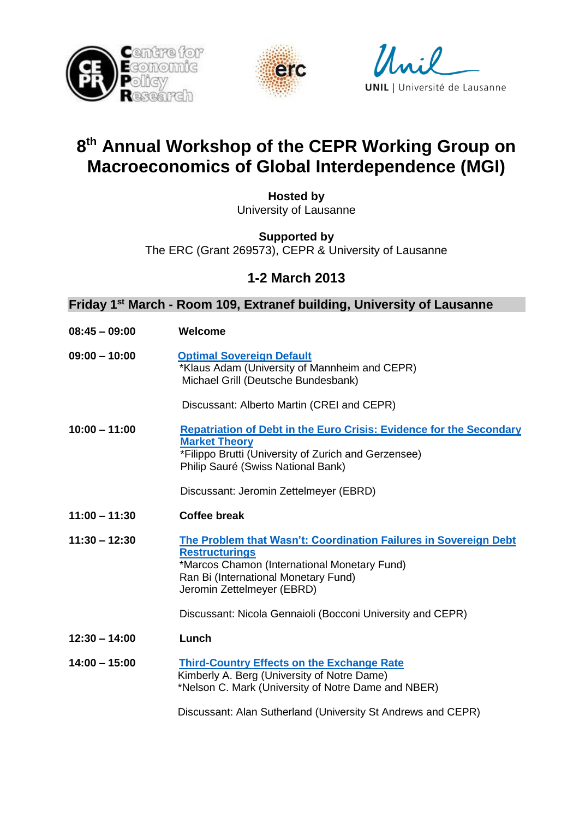





## **8 th Annual Workshop of the CEPR Working Group on Macroeconomics of Global Interdependence (MGI)**

**Hosted by** University of Lausanne

**Supported by**

The ERC (Grant 269573), CEPR & University of Lausanne

**1-2 March 2013**

## **Friday 1st March - Room 109, Extranef building, University of Lausanne**

| $08:45 - 09:00$ | Welcome                                                                                                                                                                                                         |
|-----------------|-----------------------------------------------------------------------------------------------------------------------------------------------------------------------------------------------------------------|
| $09:00 - 10:00$ | <b>Optimal Sovereign Default</b><br>*Klaus Adam (University of Mannheim and CEPR)<br>Michael Grill (Deutsche Bundesbank)                                                                                        |
|                 | Discussant: Alberto Martin (CREI and CEPR)                                                                                                                                                                      |
| $10:00 - 11:00$ | <b>Repatriation of Debt in the Euro Crisis: Evidence for the Secondary</b><br><b>Market Theory</b><br>*Filippo Brutti (University of Zurich and Gerzensee)<br>Philip Sauré (Swiss National Bank)                |
|                 | Discussant: Jeromin Zettelmeyer (EBRD)                                                                                                                                                                          |
| $11:00 - 11:30$ | <b>Coffee break</b>                                                                                                                                                                                             |
| $11:30 - 12:30$ | The Problem that Wasn't: Coordination Failures in Sovereign Debt<br><b>Restructurings</b><br>*Marcos Chamon (International Monetary Fund)<br>Ran Bi (International Monetary Fund)<br>Jeromin Zettelmeyer (EBRD) |
|                 | Discussant: Nicola Gennaioli (Bocconi University and CEPR)                                                                                                                                                      |
| $12:30 - 14:00$ | Lunch                                                                                                                                                                                                           |
| $14:00 - 15:00$ | <b>Third-Country Effects on the Exchange Rate</b><br>Kimberly A. Berg (University of Notre Dame)<br>*Nelson C. Mark (University of Notre Dame and NBER)                                                         |
|                 | Discussant: Alan Sutherland (University St Andrews and CEPR)                                                                                                                                                    |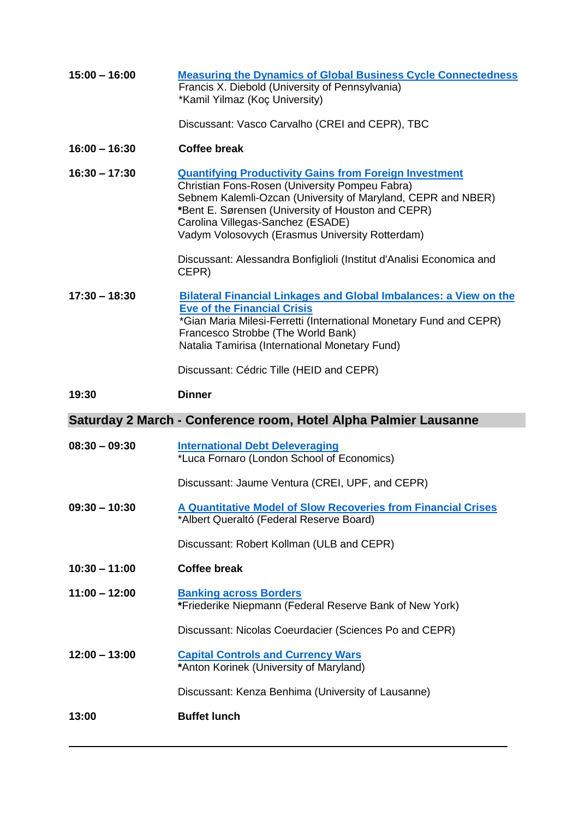| $15:00 - 16:00$ | <b>Measuring the Dynamics of Global Business Cycle Connectedness</b><br>Francis X. Diebold (University of Pennsylvania)<br>*Kamil Yilmaz (Koç University)                                                                                                                                                                     |
|-----------------|-------------------------------------------------------------------------------------------------------------------------------------------------------------------------------------------------------------------------------------------------------------------------------------------------------------------------------|
|                 | Discussant: Vasco Carvalho (CREI and CEPR), TBC                                                                                                                                                                                                                                                                               |
| $16:00 - 16:30$ | <b>Coffee break</b>                                                                                                                                                                                                                                                                                                           |
| $16:30 - 17:30$ | <b>Quantifying Productivity Gains from Foreign Investment</b><br>Christian Fons-Rosen (University Pompeu Fabra)<br>Sebnem Kalemli-Ozcan (University of Maryland, CEPR and NBER)<br>*Bent E. Sørensen (University of Houston and CEPR)<br>Carolina Villegas-Sanchez (ESADE)<br>Vadym Volosovych (Erasmus University Rotterdam) |
|                 | Discussant: Alessandra Bonfiglioli (Institut d'Analisi Economica and<br>CEPR)                                                                                                                                                                                                                                                 |
| $17:30 - 18:30$ | <b>Bilateral Financial Linkages and Global Imbalances: a View on the</b><br><b>Eve of the Financial Crisis</b><br>*Gian Maria Milesi-Ferretti (International Monetary Fund and CEPR)<br>Francesco Strobbe (The World Bank)<br>Natalia Tamirisa (International Monetary Fund)                                                  |
|                 | Discussant: Cédric Tille (HEID and CEPR)                                                                                                                                                                                                                                                                                      |
| 19:30           | <b>Dinner</b>                                                                                                                                                                                                                                                                                                                 |
|                 |                                                                                                                                                                                                                                                                                                                               |
|                 | Saturday 2 March - Conference room, Hotel Alpha Palmier Lausanne                                                                                                                                                                                                                                                              |
| $08:30 - 09:30$ | <b>International Debt Deleveraging</b><br>*Luca Fornaro (London School of Economics)                                                                                                                                                                                                                                          |
|                 | Discussant: Jaume Ventura (CREI, UPF, and CEPR)                                                                                                                                                                                                                                                                               |
| $09:30 - 10:30$ | A Quantitative Model of Slow Recoveries from Financial Crises<br>*Albert Queraltó (Federal Reserve Board)                                                                                                                                                                                                                     |
|                 | Discussant: Robert Kollman (ULB and CEPR)                                                                                                                                                                                                                                                                                     |
| $10:30 - 11:00$ | <b>Coffee break</b>                                                                                                                                                                                                                                                                                                           |
| $11:00 - 12:00$ | <b>Banking across Borders</b><br>*Friederike Niepmann (Federal Reserve Bank of New York)                                                                                                                                                                                                                                      |
|                 | Discussant: Nicolas Coeurdacier (Sciences Po and CEPR)                                                                                                                                                                                                                                                                        |
| $12:00 - 13:00$ | <b>Capital Controls and Currency Wars</b><br>*Anton Korinek (University of Maryland)                                                                                                                                                                                                                                          |
|                 | Discussant: Kenza Benhima (University of Lausanne)                                                                                                                                                                                                                                                                            |